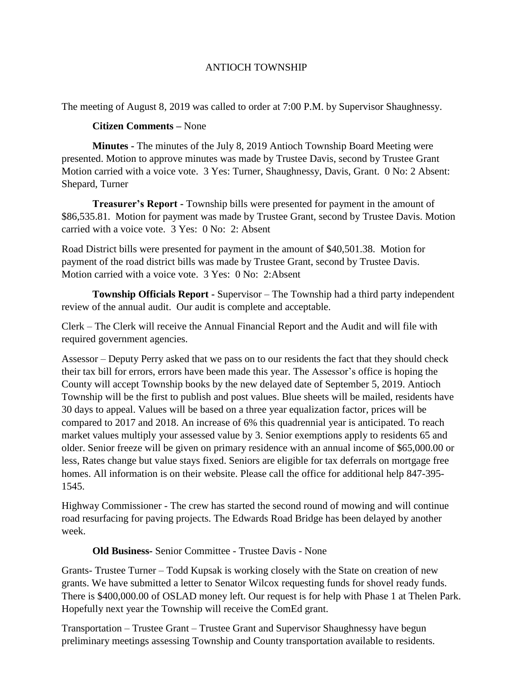## ANTIOCH TOWNSHIP

The meeting of August 8, 2019 was called to order at 7:00 P.M. by Supervisor Shaughnessy.

## **Citizen Comments –** None

**Minutes -** The minutes of the July 8, 2019 Antioch Township Board Meeting were presented. Motion to approve minutes was made by Trustee Davis, second by Trustee Grant Motion carried with a voice vote. 3 Yes: Turner, Shaughnessy, Davis, Grant. 0 No: 2 Absent: Shepard, Turner

**Treasurer's Report -** Township bills were presented for payment in the amount of \$86,535.81. Motion for payment was made by Trustee Grant, second by Trustee Davis. Motion carried with a voice vote. 3 Yes: 0 No: 2: Absent

Road District bills were presented for payment in the amount of \$40,501.38. Motion for payment of the road district bills was made by Trustee Grant, second by Trustee Davis. Motion carried with a voice vote. 3 Yes: 0 No: 2:Absent

**Township Officials Report -** Supervisor – The Township had a third party independent review of the annual audit. Our audit is complete and acceptable.

Clerk – The Clerk will receive the Annual Financial Report and the Audit and will file with required government agencies.

Assessor – Deputy Perry asked that we pass on to our residents the fact that they should check their tax bill for errors, errors have been made this year. The Assessor's office is hoping the County will accept Township books by the new delayed date of September 5, 2019. Antioch Township will be the first to publish and post values. Blue sheets will be mailed, residents have 30 days to appeal. Values will be based on a three year equalization factor, prices will be compared to 2017 and 2018. An increase of 6% this quadrennial year is anticipated. To reach market values multiply your assessed value by 3. Senior exemptions apply to residents 65 and older. Senior freeze will be given on primary residence with an annual income of \$65,000.00 or less, Rates change but value stays fixed. Seniors are eligible for tax deferrals on mortgage free homes. All information is on their website. Please call the office for additional help 847-395- 1545.

Highway Commissioner - The crew has started the second round of mowing and will continue road resurfacing for paving projects. The Edwards Road Bridge has been delayed by another week.

## **Old Business-** Senior Committee - Trustee Davis - None

Grants- Trustee Turner – Todd Kupsak is working closely with the State on creation of new grants. We have submitted a letter to Senator Wilcox requesting funds for shovel ready funds. There is \$400,000.00 of OSLAD money left. Our request is for help with Phase 1 at Thelen Park. Hopefully next year the Township will receive the ComEd grant.

Transportation – Trustee Grant – Trustee Grant and Supervisor Shaughnessy have begun preliminary meetings assessing Township and County transportation available to residents.